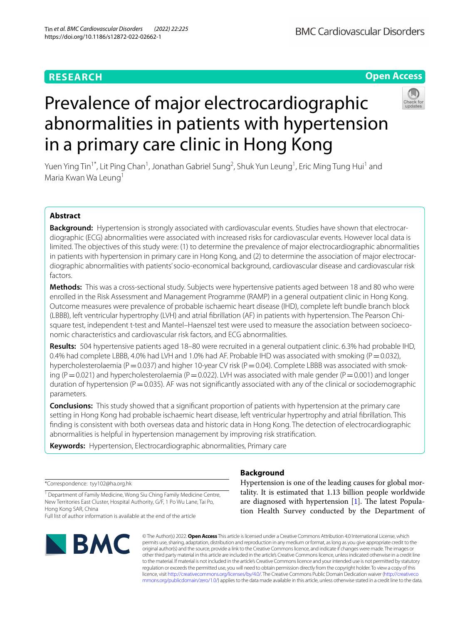# **RESEARCH**

# Prevalence of major electrocardiographic abnormalities in patients with hypertension in a primary care clinic in Hong Kong

Yuen Ying Tin<sup>1\*</sup>, Lit Ping Chan<sup>1</sup>, Jonathan Gabriel Sung<sup>2</sup>, Shuk Yun Leung<sup>1</sup>, Eric Ming Tung Hui<sup>1</sup> and Maria Kwan Wa Leung<sup>1</sup>

# **Abstract**

**Background:** Hypertension is strongly associated with cardiovascular events. Studies have shown that electrocardiographic (ECG) abnormalities were associated with increased risks for cardiovascular events. However local data is limited. The objectives of this study were: (1) to determine the prevalence of major electrocardiographic abnormalities in patients with hypertension in primary care in Hong Kong, and (2) to determine the association of major electrocardiographic abnormalities with patients' socio-economical background, cardiovascular disease and cardiovascular risk factors.

**Methods:** This was a cross-sectional study. Subjects were hypertensive patients aged between 18 and 80 who were enrolled in the Risk Assessment and Management Programme (RAMP) in a general outpatient clinic in Hong Kong. Outcome measures were prevalence of probable ischaemic heart disease (IHD), complete left bundle branch block (LBBB), left ventricular hypertrophy (LVH) and atrial fbrillation (AF) in patients with hypertension. The Pearson Chisquare test, independent t-test and Mantel–Haenszel test were used to measure the association between socioeconomic characteristics and cardiovascular risk factors, and ECG abnormalities.

**Results:** 504 hypertensive patients aged 18–80 were recruited in a general outpatient clinic. 6.3% had probable IHD, 0.4% had complete LBBB, 4.0% had LVH and 1.0% had AF. Probable IHD was associated with smoking ( $P=0.032$ ), hypercholesterolaemia ( $P=0.037$ ) and higher 10-year CV risk ( $P=0.04$ ). Complete LBBB was associated with smoking (P=0.021) and hypercholesterolaemia (P=0.022). LVH was associated with male gender (P=0.001) and longer duration of hypertension ( $P=0.035$ ). AF was not significantly associated with any of the clinical or sociodemographic parameters.

**Conclusions:** This study showed that a signifcant proportion of patients with hypertension at the primary care setting in Hong Kong had probable ischaemic heart disease, left ventricular hypertrophy and atrial fbrillation. This fnding is consistent with both overseas data and historic data in Hong Kong. The detection of electrocardiographic abnormalities is helpful in hypertension management by improving risk stratifcation.

**Keywords:** Hypertension, Electrocardiographic abnormalities, Primary care

\*Correspondence: tyy102@ha.org.hk

<sup>1</sup> Department of Family Medicine, Wong Siu Ching Family Medicine Centre, New Territories East Cluster, Hospital Authority, G/F, 1 Po Wu Lane, Tai Po, Hong Kong SAR, China

Full list of author information is available at the end of the article

© The Author(s) 2022. **Open Access** This article is licensed under a Creative Commons Attribution 4.0 International License, which permits use, sharing, adaptation, distribution and reproduction in any medium or format, as long as you give appropriate credit to the original author(s) and the source, provide a link to the Creative Commons licence, and indicate if changes were made. The images or other third party material in this article are included in the article's Creative Commons licence, unless indicated otherwise in a credit line to the material. If material is not included in the article's Creative Commons licence and your intended use is not permitted by statutory regulation or exceeds the permitted use, you will need to obtain permission directly from the copyright holder. To view a copy of this licence, visit [http://creativecommons.org/licenses/by/4.0/.](http://creativecommons.org/licenses/by/4.0/) The Creative Commons Public Domain Dedication waiver ([http://creativeco](http://creativecommons.org/publicdomain/zero/1.0/) [mmons.org/publicdomain/zero/1.0/](http://creativecommons.org/publicdomain/zero/1.0/)) applies to the data made available in this article, unless otherwise stated in a credit line to the data.

# **Background**

Hypertension is one of the leading causes for global mortality. It is estimated that 1.13 billion people worldwide are diagnosed with hypertension  $[1]$  $[1]$  $[1]$ . The latest Population Health Survey conducted by the Department of

# **Open Access**

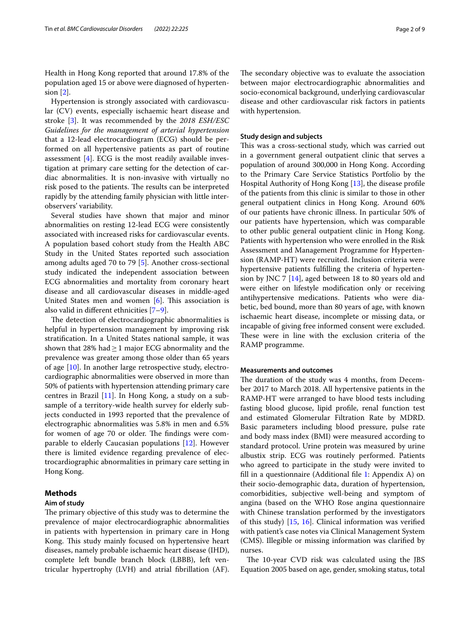Health in Hong Kong reported that around 17.8% of the population aged 15 or above were diagnosed of hypertension [\[2](#page-8-1)].

Hypertension is strongly associated with cardiovascular (CV) events, especially ischaemic heart disease and stroke [\[3](#page-8-2)]. It was recommended by the *2018 ESH/ESC Guidelines for the management of arterial hypertension* that a 12-lead electrocardiogram (ECG) should be performed on all hypertensive patients as part of routine assessment  $[4]$  $[4]$ . ECG is the most readily available investigation at primary care setting for the detection of cardiac abnormalities. It is non-invasive with virtually no risk posed to the patients. The results can be interpreted rapidly by the attending family physician with little interobservers' variability.

Several studies have shown that major and minor abnormalities on resting 12-lead ECG were consistently associated with increased risks for cardiovascular events. A population based cohort study from the Health ABC Study in the United States reported such association among adults aged 70 to 79 [\[5](#page-8-4)]. Another cross-sectional study indicated the independent association between ECG abnormalities and mortality from coronary heart disease and all cardiovascular diseases in middle-aged United States men and women  $[6]$  $[6]$ . This association is also valid in diferent ethnicities [\[7](#page-8-6)[–9](#page-8-7)].

The detection of electrocardiographic abnormalities is helpful in hypertension management by improving risk stratifcation. In a United States national sample, it was shown that 28% had  $\geq$  1 major ECG abnormality and the prevalence was greater among those older than 65 years of age [[10](#page-8-8)]. In another large retrospective study, electrocardiographic abnormalities were observed in more than 50% of patients with hypertension attending primary care centres in Brazil [[11\]](#page-8-9). In Hong Kong, a study on a subsample of a territory-wide health survey for elderly subjects conducted in 1993 reported that the prevalence of electrographic abnormalities was 5.8% in men and 6.5% for women of age 70 or older. The findings were comparable to elderly Caucasian populations [[12](#page-8-10)]. However there is limited evidence regarding prevalence of electrocardiographic abnormalities in primary care setting in Hong Kong.

# **Methods**

# **Aim of study**

The primary objective of this study was to determine the prevalence of major electrocardiographic abnormalities in patients with hypertension in primary care in Hong Kong. This study mainly focused on hypertensive heart diseases, namely probable ischaemic heart disease (IHD), complete left bundle branch block (LBBB), left ventricular hypertrophy (LVH) and atrial fbrillation (AF).

The secondary objective was to evaluate the association between major electrocardiographic abnormalities and socio-economical background, underlying cardiovascular disease and other cardiovascular risk factors in patients with hypertension.

# **Study design and subjects**

This was a cross-sectional study, which was carried out in a government general outpatient clinic that serves a population of around 300,000 in Hong Kong. According to the Primary Care Service Statistics Portfolio by the Hospital Authority of Hong Kong [\[13](#page-8-11)], the disease profle of the patients from this clinic is similar to those in other general outpatient clinics in Hong Kong. Around 60% of our patients have chronic illness. In particular 50% of our patients have hypertension, which was comparable to other public general outpatient clinic in Hong Kong. Patients with hypertension who were enrolled in the Risk Assessment and Management Programme for Hypertension (RAMP-HT) were recruited. Inclusion criteria were hypertensive patients fulflling the criteria of hypertension by JNC 7 [[14\]](#page-8-12), aged between 18 to 80 years old and were either on lifestyle modifcation only or receiving antihypertensive medications. Patients who were diabetic, bed bound, more than 80 years of age, with known ischaemic heart disease, incomplete or missing data, or incapable of giving free informed consent were excluded. These were in line with the exclusion criteria of the RAMP programme.

# **Measurements and outcomes**

The duration of the study was 4 months, from December 2017 to March 2018. All hypertensive patients in the RAMP-HT were arranged to have blood tests including fasting blood glucose, lipid profle, renal function test and estimated Glomerular Filtration Rate by MDRD. Basic parameters including blood pressure, pulse rate and body mass index (BMI) were measured according to standard protocol. Urine protein was measured by urine albustix strip. ECG was routinely performed. Patients who agreed to participate in the study were invited to fll in a questionnaire (Additional fle [1](#page-7-0): Appendix A) on their socio-demographic data, duration of hypertension, comorbidities, subjective well-being and symptom of angina (based on the WHO Rose angina questionnaire with Chinese translation performed by the investigators of this study) [[15,](#page-8-13) [16](#page-8-14)]. Clinical information was verifed with patient's case notes via Clinical Management System (CMS). Illegible or missing information was clarifed by nurses.

The 10-year CVD risk was calculated using the JBS Equation 2005 based on age, gender, smoking status, total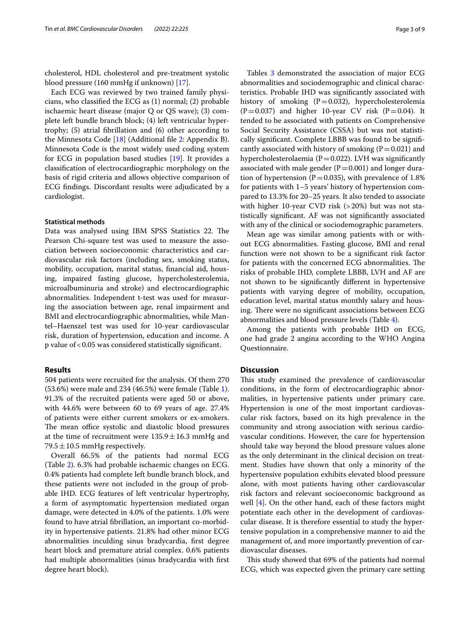cholesterol, HDL cholesterol and pre-treatment systolic blood pressure (160 mmHg if unknown) [\[17\]](#page-8-15).

Each ECG was reviewed by two trained family physicians, who classifed the ECG as (1) normal; (2) probable ischaemic heart disease (major Q or QS wave); (3) complete left bundle branch block; (4) left ventricular hypertrophy; (5) atrial fbrillation and (6) other according to the Minnesota Code [[18](#page-8-16)] (Additional fle [2:](#page-7-1) Appendix B). Minnesota Code is the most widely used coding system for ECG in population based studies [\[19](#page-8-17)]. It provides a classifcation of electrocardiographic morphology on the basis of rigid criteria and allows objective comparison of ECG fndings. Discordant results were adjudicated by a cardiologist.

# **Statistical methods**

Data was analysed using IBM SPSS Statistics 22. The Pearson Chi-square test was used to measure the association between socioeconomic characteristics and cardiovascular risk factors (including sex, smoking status, mobility, occupation, marital status, fnancial aid, housing, impaired fasting glucose, hypercholesterolemia, microalbuminuria and stroke) and electrocardiographic abnormalities. Independent t-test was used for measuring the association between age, renal impairment and BMI and electrocardiographic abnormalities, while Mantel–Haenszel test was used for 10-year cardiovascular risk, duration of hypertension, education and income. A p value of<0.05 was considered statistically signifcant.

# **Results**

504 patients were recruited for the analysis. Of them 270 (53.6%) were male and 234 (46.5%) were female (Table [1](#page-3-0)). 91.3% of the recruited patients were aged 50 or above, with 44.6% were between 60 to 69 years of age. 27.4% of patients were either current smokers or ex-smokers. The mean office systolic and diastolic blood pressures at the time of recruitment were  $135.9 \pm 16.3$  mmHg and 79.5  $\pm$  10.5 mmHg respectively.

Overall 66.5% of the patients had normal ECG (Table [2\)](#page-4-0). 6.3% had probable ischaemic changes on ECG. 0.4% patients had complete left bundle branch block, and these patients were not included in the group of probable IHD. ECG features of left ventricular hypertrophy, a form of asymptomatic hypertension mediated organ damage, were detected in 4.0% of the patients. 1.0% were found to have atrial fbrillation, an important co-morbidity in hypertensive patients. 21.8% had other minor ECG abnormalities inculding sinus bradycardia, frst degree heart block and premature atrial complex. 0.6% patients had multiple abnormalities (sinus bradycardia with frst degree heart block).

Tables [3](#page-5-0) demonstrated the association of major ECG abnormalities and sociodemographic and clinical characteristics. Probable IHD was signifcantly associated with history of smoking  $(P=0.032)$ , hypercholesterolemia  $(P=0.037)$  and higher 10-year CV risk  $(P=0.04)$ . It tended to be associated with patients on Comprehensive Social Security Assistance (CSSA) but was not statistically signifcant. Complete LBBB was found to be signifcantly associated with history of smoking  $(P=0.021)$  and hypercholesterolaemia ( $P=0.022$ ). LVH was significantly associated with male gender  $(P=0.001)$  and longer duration of hypertension ( $P=0.035$ ), with prevalence of 1.8% for patients with 1–5 years' history of hypertension compared to 13.3% for 20–25 years. It also tended to associate with higher 10-year CVD risk (>20%) but was not statistically signifcant. AF was not signifcantly associated with any of the clinical or sociodemographic parameters.

Mean age was similar among patients with or without ECG abnormalities. Fasting glucose, BMI and renal function were not shown to be a signifcant risk factor for patients with the concerned ECG abnormalities. The risks of probable IHD, complete LBBB, LVH and AF are not shown to be signifcantly diferent in hypertensive patients with varying degree of mobility, occupation, education level, marital status monthly salary and housing. There were no significant associations between ECG abnormalities and blood pressure levels (Table [4\)](#page-7-2).

Among the patients with probable IHD on ECG, one had grade 2 angina according to the WHO Angina Questionnaire.

# **Discussion**

This study examined the prevalence of cardiovascular conditions, in the form of electrocardiographic abnormalities, in hypertensive patients under primary care. Hypertension is one of the most important cardiovascular risk factors, based on its high prevalence in the community and strong association with serious cardiovascular conditions. However, the care for hypertension should take way beyond the blood pressure values alone as the only determinant in the clinical decision on treatment. Studies have shown that only a minority of the hypertensive population exhibits elevated blood pressure alone, with most patients having other cardiovascular risk factors and relevant socioeconomic background as well [[4\]](#page-8-3). On the other hand, each of these factors might potentiate each other in the development of cardiovascular disease. It is therefore essential to study the hypertensive population in a comprehensive manner to aid the management of, and more importantly prevention of cardiovascular diseases.

This study showed that 69% of the patients had normal ECG, which was expected given the primary care setting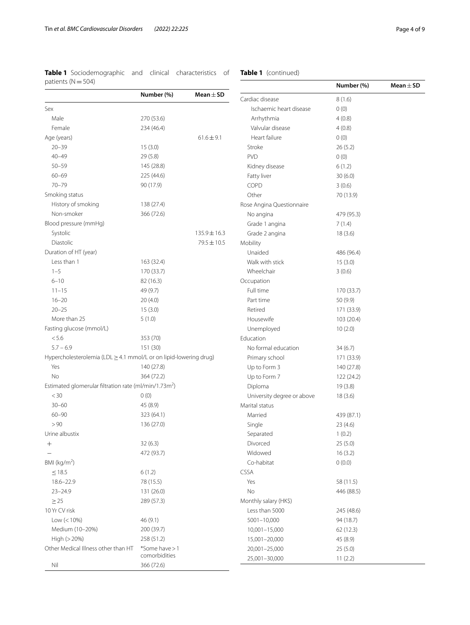<span id="page-3-0"></span>

| Table 1 Sociodemographic and clinical characteristics of |  |  |
|----------------------------------------------------------|--|--|
| patients ( $N = 504$ )                                   |  |  |

# **Table 1** (continued)

| vuudi 119 (1 1 – 90 1)                                            |                |                  |                            | Numbe    |
|-------------------------------------------------------------------|----------------|------------------|----------------------------|----------|
|                                                                   | Number (%)     | Mean $\pm$ SD    | Cardiac disease            | 8(1.6)   |
| Sex                                                               |                |                  | Ischaemic heart disease    | 0(0)     |
| Male                                                              | 270 (53.6)     |                  | Arrhythmia                 | 4(0.8)   |
| Female                                                            | 234 (46.4)     |                  | Valvular disease           | 4(0.8)   |
| Age (years)                                                       |                | $61.6 \pm 9.1$   | Heart failure              | 0(0)     |
| $20 - 39$                                                         | 15(3.0)        |                  | Stroke                     | 26(5.2)  |
| $40 - 49$                                                         | 29(5.8)        |                  | <b>PVD</b>                 | 0(0)     |
| $50 - 59$                                                         | 145 (28.8)     |                  | Kidney disease             | 6(1.2)   |
| $60 - 69$                                                         | 225 (44.6)     |                  | Fatty liver                | 30(6.0)  |
| $70 - 79$                                                         | 90 (17.9)      |                  | COPD                       | 3(0.6)   |
| Smoking status                                                    |                |                  | Other                      | 70 (13.9 |
| History of smoking                                                | 138 (27.4)     |                  | Rose Angina Questionnaire  |          |
| Non-smoker                                                        | 366 (72.6)     |                  | No angina                  | 479 (95. |
| Blood pressure (mmHg)                                             |                |                  | Grade 1 angina             | 7(1.4)   |
| Systolic                                                          |                | $135.9 \pm 16.3$ | Grade 2 angina             | 18(3.6)  |
| <b>Diastolic</b>                                                  |                | $79.5 \pm 10.5$  | Mobility                   |          |
| Duration of HT (year)                                             |                |                  | Unaided                    | 486 (96. |
| Less than 1                                                       | 163 (32.4)     |                  | Walk with stick            | 15(3.0)  |
| $1 - 5$                                                           | 170 (33.7)     |                  | Wheelchair                 |          |
| $6 - 10$                                                          | 82 (16.3)      |                  |                            | 3(0.6)   |
|                                                                   |                |                  | Occupation                 |          |
| $11 - 15$                                                         | 49 (9.7)       |                  | Full time                  | 170 (33. |
| $16 - 20$                                                         | 20(4.0)        |                  | Part time                  | 50 (9.9) |
| $20 - 25$                                                         | 15(3.0)        |                  | Retired                    | 171 (33. |
| More than 25                                                      | 5(1.0)         |                  | Housewife                  | 103 (20. |
| Fasting glucose (mmol/L)                                          |                |                  | Unemployed                 | 10(2.0)  |
| < 5.6                                                             | 353 (70)       |                  | Education                  |          |
| $5.7 - 6.9$                                                       | 151 (30)       |                  | No formal education        | 34(6.7)  |
| Hypercholesterolemia (LDL > 4.1 mmol/L or on lipid-lowering drug) |                |                  | Primary school             | 171 (33. |
| Yes                                                               | 140 (27.8)     |                  | Up to Form 3               | 140 (27. |
| <b>No</b>                                                         | 364 (72.2)     |                  | Up to Form 7               | 122 (24. |
| Estimated glomerular filtration rate (ml/min/1.73m <sup>2</sup> ) |                |                  | Diploma                    | 19(3.8)  |
| <30                                                               | 0(0)           |                  | University degree or above | 18(3.6)  |
| $30 - 60$                                                         | 45 (8.9)       |                  | Marital status             |          |
| $60 - 90$                                                         | 323 (64.1)     |                  | Married                    | 439 (87. |
| > 90                                                              | 136 (27.0)     |                  | Single                     | 23(4.6)  |
| Urine albustix                                                    |                |                  | Separated                  | 1(0.2)   |
| $^+$                                                              | 32(6.3)        |                  | Divorced                   | 25(5.0)  |
|                                                                   | 472 (93.7)     |                  | Widowed                    | 16(3.2)  |
| BMI (kg/m <sup>2</sup> )                                          |                |                  | Co-habitat                 | 0(0.0)   |
| $\leq 18.5$                                                       | 6(1.2)         |                  | <b>CSSA</b>                |          |
| $18.6 - 22.9$                                                     | 78 (15.5)      |                  | Yes                        | 58 (11.5 |
| $23 - 24.9$                                                       | 131 (26.0)     |                  | No                         | 446 (88. |
| $\geq$ 25                                                         | 289 (57.3)     |                  | Monthly salary (HK\$)      |          |
| 10 Yr CV risk                                                     |                |                  | Less than 5000             | 245 (48. |
| Low $(< 10\%)$                                                    | 46 (9.1)       |                  | 5001-10,000                | 94 (18.7 |
| Medium (10-20%)                                                   | 200 (39.7)     |                  | 10,001-15,000              | 62 (12.3 |
| High (> 20%)                                                      | 258 (51.2)     |                  | 15,001-20,000              | 45 (8.9) |
| Other Medical Illness other than HT                               | *Some have > 1 |                  | 20,001-25,000              | 25(5.0)  |
|                                                                   | comorbidities  |                  | 25,001-30,000              | 11(2.2)  |
| Nil                                                               | 366 (72.6)     |                  |                            |          |

|                            | Number (%) | Mean $\pm$ SD |
|----------------------------|------------|---------------|
|                            |            |               |
| Cardiac disease            | 8(1.6)     |               |
| Ischaemic heart disease    | 0(0)       |               |
| Arrhythmia                 | 4(0.8)     |               |
| Valvular disease           | 4(0.8)     |               |
| Heart failure              | 0(0)       |               |
| Stroke                     | 26(5.2)    |               |
| <b>PVD</b>                 | 0(0)       |               |
| Kidney disease             | 6(1.2)     |               |
| Fatty liver                | 30 (6.0)   |               |
| <b>COPD</b>                | 3(0.6)     |               |
| Other                      | 70 (13.9)  |               |
| Rose Angina Questionnaire  |            |               |
| No angina                  | 479 (95.3) |               |
| Grade 1 angina             | 7(1.4)     |               |
| Grade 2 angina             | 18(3.6)    |               |
| Mobility                   |            |               |
| Unaided                    | 486 (96.4) |               |
| Walk with stick            | 15(3.0)    |               |
| Wheelchair                 | 3(0.6)     |               |
| Occupation                 |            |               |
| Full time                  | 170 (33.7) |               |
| Part time                  | 50 (9.9)   |               |
| Retired                    | 171 (33.9) |               |
| Housewife                  | 103 (20.4) |               |
| Unemployed                 | 10(2.0)    |               |
| Education                  |            |               |
| No formal education        | 34(6.7)    |               |
| Primary school             | 171 (33.9) |               |
| Up to Form 3               | 140 (27.8) |               |
| Up to Form 7               | 122 (24.2) |               |
| Diploma                    | 19(3.8)    |               |
| University degree or above | 18(3.6)    |               |
| Marital status             |            |               |
| Married                    | 439 (87.1) |               |
| Single                     | 23 (4.6)   |               |
| Separated                  | 1(0.2)     |               |
| Divorced                   | 25 (5.0)   |               |
| Widowed                    | 16(3.2)    |               |
| Co-habitat                 | 0(0.0)     |               |
| CSSA                       |            |               |
| Yes                        | 58 (11.5)  |               |
| No                         | 446 (88.5) |               |
| Monthly salary (HK\$)      |            |               |
| Less than 5000             | 245 (48.6) |               |
| 5001-10,000                | 94 (18.7)  |               |
| 10,001-15,000              | 62 (12.3)  |               |
| 15,001-20,000              | 45 (8.9)   |               |
| 20,001-25,000              | 25 (5.0)   |               |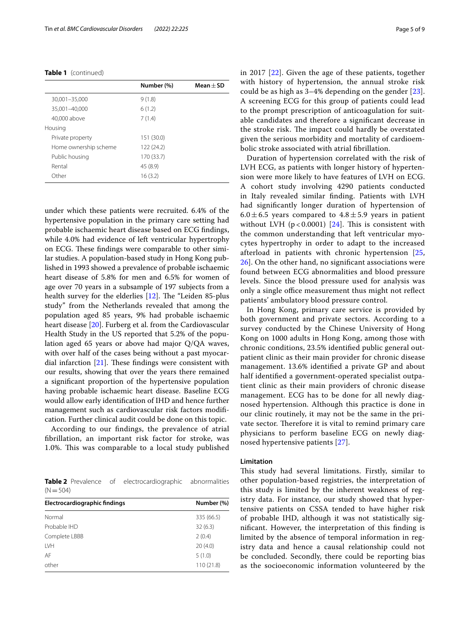**Table 1** (continued)

|                       | Number (%) | $Mean + SD$ |
|-----------------------|------------|-------------|
| 30,001-35,000         | 9(1.8)     |             |
| 35,001-40,000         | 6(1.2)     |             |
| 40,000 above          | 7(1.4)     |             |
| Housing               |            |             |
| Private property      | 151 (30.0) |             |
| Home ownership scheme | 122 (24.2) |             |
| Public housing        | 170 (33.7) |             |
| Rental                | 45 (8.9)   |             |
| Other                 | 16(3.2)    |             |

under which these patients were recruited. 6.4% of the hypertensive population in the primary care setting had probable ischaemic heart disease based on ECG fndings, while 4.0% had evidence of left ventricular hypertrophy on ECG. These findings were comparable to other similar studies. A population-based study in Hong Kong published in 1993 showed a prevalence of probable ischaemic heart disease of 5.8% for men and 6.5% for women of age over 70 years in a subsample of 197 subjects from a health survey for the elderlies  $[12]$  $[12]$ . The "Leiden 85-plus study" from the Netherlands revealed that among the population aged 85 years, 9% had probable ischaemic heart disease [[20\]](#page-8-18). Furberg et al. from the Cardiovascular Health Study in the US reported that 5.2% of the population aged 65 years or above had major Q/QA waves, with over half of the cases being without a past myocardial infarction  $[21]$ . These findings were consistent with our results, showing that over the years there remained a signifcant proportion of the hypertensive population having probable ischaemic heart disease. Baseline ECG would allow early identifcation of IHD and hence further management such as cardiovascular risk factors modifcation. Further clinical audit could be done on this topic.

According to our fndings, the prevalence of atrial fbrillation, an important risk factor for stroke, was 1.0%. This was comparable to a local study published

<span id="page-4-0"></span>**Table 2** Prevalence of electrocardiographic abnormalities  $(N=504)$ 

| Electrocardiographic findings | Number (%) |
|-------------------------------|------------|
| Normal                        | 335 (66.5) |
| Probable IHD                  | 32(6.3)    |
| Complete LBBB                 | 2(0.4)     |
| LVH                           | 20(4.0)    |
| AF                            | 5(1.0)     |
| other                         | 110 (21.8) |

in 2017 [[22\]](#page-8-20). Given the age of these patients, together with history of hypertension, the annual stroke risk could be as high as 3–4% depending on the gender [[23](#page-8-21)]. A screening ECG for this group of patients could lead to the prompt prescription of anticoagulation for suitable candidates and therefore a signifcant decrease in the stroke risk. The impact could hardly be overstated given the serious morbidity and mortality of cardioembolic stroke associated with atrial fbrillation.

Duration of hypertension correlated with the risk of LVH ECG, as patients with longer history of hypertension were more likely to have features of LVH on ECG. A cohort study involving 4290 patients conducted in Italy revealed similar fnding. Patients with LVH had signifcantly longer duration of hypertension of 6.0 $\pm$ 6.5 years compared to 4.8 $\pm$ 5.9 years in patient without LVH  $(p < 0.0001)$  [[24\]](#page-8-22). This is consistent with the common understanding that left ventricular myocytes hypertrophy in order to adapt to the increased afterload in patients with chronic hypertension [\[25](#page-8-23), [26\]](#page-8-24). On the other hand, no signifcant associations were found between ECG abnormalities and blood pressure levels. Since the blood pressure used for analysis was only a single office measurement thus might not reflect patients' ambulatory blood pressure control.

In Hong Kong, primary care service is provided by both government and private sectors. According to a survey conducted by the Chinese University of Hong Kong on 1000 adults in Hong Kong, among those with chronic conditions, 23.5% identifed public general outpatient clinic as their main provider for chronic disease management. 13.6% identifed a private GP and about half identifed a government-operated specialist outpatient clinic as their main providers of chronic disease management. ECG has to be done for all newly diagnosed hypertension. Although this practice is done in our clinic routinely, it may not be the same in the private sector. Therefore it is vital to remind primary care physicians to perform baseline ECG on newly diagnosed hypertensive patients [[27](#page-8-25)].

# **Limitation**

This study had several limitations. Firstly, similar to other population-based registries, the interpretation of this study is limited by the inherent weakness of registry data. For instance, our study showed that hypertensive patients on CSSA tended to have higher risk of probable IHD, although it was not statistically signifcant. However, the interpretation of this fnding is limited by the absence of temporal information in registry data and hence a causal relationship could not be concluded. Secondly, there could be reporting bias as the socioeconomic information volunteered by the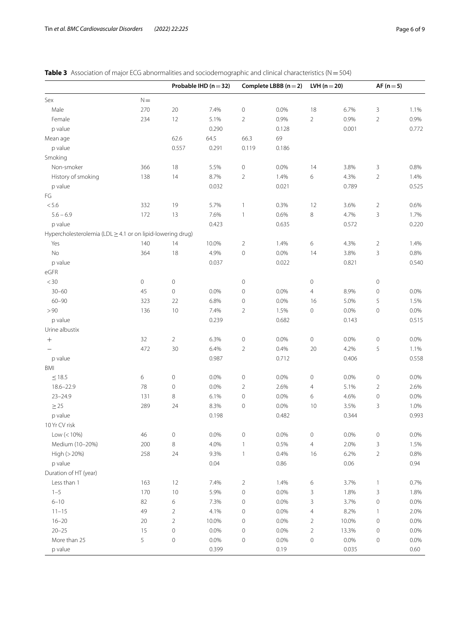<span id="page-5-0"></span>

| <b>Table 3</b> Association of major ECG abnormalities and sociodemographic and clinical characteristics ( $N = 504$ ) |
|-----------------------------------------------------------------------------------------------------------------------|
|-----------------------------------------------------------------------------------------------------------------------|

|                                                            |                     |                     | Probable IHD ( $n = 32$ ) |                     | Complete LBBB $(n=2)$ | LVH $(n=20)$        |         | AF $(n=5)$          |       |
|------------------------------------------------------------|---------------------|---------------------|---------------------------|---------------------|-----------------------|---------------------|---------|---------------------|-------|
| Sex                                                        | $\mathsf{N}\!=\!$   |                     |                           |                     |                       |                     |         |                     |       |
| Male                                                       | 270                 | $20\,$              | 7.4%                      | $\mathbf 0$         | 0.0%                  | 18                  | 6.7%    | 3                   | 1.1%  |
| Female                                                     | 234                 | 12                  | 5.1%                      | $\overline{2}$      | 0.9%                  | $\overline{2}$      | 0.9%    | $\overline{2}$      | 0.9%  |
| p value                                                    |                     |                     | 0.290                     |                     | 0.128                 |                     | 0.001   |                     | 0.772 |
| Mean age                                                   |                     | 62.6                | 64.5                      | 66.3                | 69                    |                     |         |                     |       |
| p value                                                    |                     | 0.557               | 0.291                     | 0.119               | 0.186                 |                     |         |                     |       |
| Smoking                                                    |                     |                     |                           |                     |                       |                     |         |                     |       |
| Non-smoker                                                 | 366                 | 18                  | 5.5%                      | $\mathbf 0$         | 0.0%                  | 14                  | 3.8%    | 3                   | 0.8%  |
| History of smoking                                         | 138                 | 14                  | 8.7%                      | $\overline{2}$      | 1.4%                  | 6                   | 4.3%    | $\overline{2}$      | 1.4%  |
| p value                                                    |                     |                     | 0.032                     |                     | 0.021                 |                     | 0.789   |                     | 0.525 |
| FG                                                         |                     |                     |                           |                     |                       |                     |         |                     |       |
| $< 5.6$                                                    | 332                 | 19                  | 5.7%                      | $\mathbf{1}$        | 0.3%                  | 12                  | 3.6%    | $\overline{2}$      | 0.6%  |
| $5.6 - 6.9$                                                | 172                 | 13                  | 7.6%                      | $\mathbf{1}$        | 0.6%                  | 8                   | 4.7%    | 3                   | 1.7%  |
| p value                                                    |                     |                     | 0.423                     |                     | 0.635                 |                     | 0.572   |                     | 0.220 |
| Hypercholesterolemia (LDL ≥ 4.1 or on lipid-lowering drug) |                     |                     |                           |                     |                       |                     |         |                     |       |
| Yes                                                        | 140                 | 14                  | 10.0%                     | $\overline{2}$      | 1.4%                  | 6                   | 4.3%    | $\overline{2}$      | 1.4%  |
| No                                                         | 364                 | 18                  | 4.9%                      | $\mathbf 0$         | 0.0%                  | 14                  | 3.8%    | 3                   | 0.8%  |
| p value                                                    |                     |                     | 0.037                     |                     | 0.022                 |                     | 0.821   |                     | 0.540 |
| eGFR                                                       |                     |                     |                           |                     |                       |                     |         |                     |       |
| $<$ 30                                                     | $\mathsf{O}\xspace$ | $\mathbf 0$         |                           | $\mathbf 0$         |                       | $\mathsf{O}\xspace$ |         | $\mathbb O$         |       |
| $30 - 60$                                                  | 45                  | $\mathsf{O}\xspace$ | 0.0%                      | $\mathsf{O}\xspace$ | 0.0%                  | 4                   | 8.9%    | $\mathbf 0$         | 0.0%  |
| $60 - 90$                                                  | 323                 | 22                  | 6.8%                      | $\mathsf{O}\xspace$ | 0.0%                  | 16                  | 5.0%    | 5                   | 1.5%  |
| > 90                                                       | 136                 | 10                  | 7.4%                      | $\overline{2}$      | 1.5%                  | $\mathbf 0$         | $0.0\%$ | $\mathbf 0$         | 0.0%  |
| p value                                                    |                     |                     | 0.239                     |                     | 0.682                 |                     | 0.143   |                     | 0.515 |
| Urine albustix                                             |                     |                     |                           |                     |                       |                     |         |                     |       |
| $+$                                                        | 32                  | $\overline{2}$      | 6.3%                      | $\mathsf{O}\xspace$ | 0.0%                  | $\mathsf{O}\xspace$ | 0.0%    | $\mathbf 0$         | 0.0%  |
|                                                            | 472                 | 30                  | 6.4%                      | $\overline{2}$      | 0.4%                  | 20                  | 4.2%    | 5                   | 1.1%  |
| p value                                                    |                     |                     | 0.987                     |                     | 0.712                 |                     | 0.406   |                     | 0.558 |
| <b>BMI</b>                                                 |                     |                     |                           |                     |                       |                     |         |                     |       |
| $\leq$ 18.5                                                | $\,$ 6 $\,$         | $\mathbf 0$         | 0.0%                      | $\mathsf{O}\xspace$ | 0.0%                  | $\mathbf 0$         | 0.0%    | $\mathbb O$         | 0.0%  |
| $18.6 - 22.9$                                              | 78                  | $\mathsf{O}\xspace$ | 0.0%                      | $\overline{2}$      | 2.6%                  | $\overline{4}$      | 5.1%    | $\overline{2}$      | 2.6%  |
| $23 - 24.9$                                                | 131                 | 8                   | 6.1%                      | $\mathsf{O}\xspace$ | 0.0%                  | 6                   | 4.6%    | $\mathbb O$         | 0.0%  |
| $\geq$ 25                                                  | 289                 | 24                  | 8.3%                      | $\mathsf{O}\xspace$ | 0.0%                  | 10                  | 3.5%    | 3                   | 1.0%  |
| p value                                                    |                     |                     | 0.198                     |                     | 0.482                 |                     | 0.344   |                     | 0.993 |
| 10 Yr CV risk                                              |                     |                     |                           |                     |                       |                     |         |                     |       |
| $Low (< 10\%)$                                             | 46                  | 0                   | 0.0%                      | 0                   | 0.0%                  | 0                   | 0.0%    | 0                   | 0.0%  |
| Medium (10-20%)                                            | 200                 | 8                   | 4.0%                      | $\mathbf{1}$        | 0.5%                  | $\overline{4}$      | 2.0%    | 3                   | 1.5%  |
| High (> 20%)                                               | 258                 | 24                  | 9.3%                      | $\mathbf{1}$        | 0.4%                  | 16                  | 6.2%    | $\overline{c}$      | 0.8%  |
| p value                                                    |                     |                     | 0.04                      |                     | 0.86                  |                     | 0.06    |                     | 0.94  |
| Duration of HT (year)                                      |                     |                     |                           |                     |                       |                     |         |                     |       |
| Less than 1                                                |                     |                     | 7.4%                      |                     |                       |                     |         |                     |       |
| $1 - 5$                                                    | 163<br>170          | 12                  | 5.9%                      | $\overline{a}$      | 1.4%                  | 6                   | 3.7%    | $\mathbf{1}$        | 0.7%  |
|                                                            |                     | $10$                |                           | $\mathbb O$         | 0.0%                  | $\mathsf{3}$        | 1.8%    | 3                   | 1.8%  |
| $6 - 10$                                                   | 82<br>49            | $\epsilon$          | 7.3%                      | 0                   | 0.0%                  | 3                   | 3.7%    | $\mathbf 0$         | 0.0%  |
| $11 - 15$                                                  |                     | $\overline{2}$      | 4.1%                      | 0                   | 0.0%                  | $\overline{a}$      | 8.2%    | $\overline{1}$      | 2.0%  |
| $16 - 20$                                                  | 20                  | $\overline{2}$      | 10.0%                     | 0                   | 0.0%                  | $\overline{2}$      | 10.0%   | $\mathsf{O}\xspace$ | 0.0%  |
| $20 - 25$                                                  | 15                  | $\mathsf{O}\xspace$ | 0.0%                      | $\mathbb O$         | 0.0%                  | $\overline{2}$      | 13.3%   | $\mathbf 0$         | 0.0%  |
| More than 25                                               | 5                   | $\mathsf{O}\xspace$ | 0.0%                      | $\mathbb O$         | 0.0%                  | $\mathbf 0$         | 0.0%    | $\mathsf{O}\xspace$ | 0.0%  |
| p value                                                    |                     |                     | 0.399                     |                     | 0.19                  |                     | 0.035   |                     | 0.60  |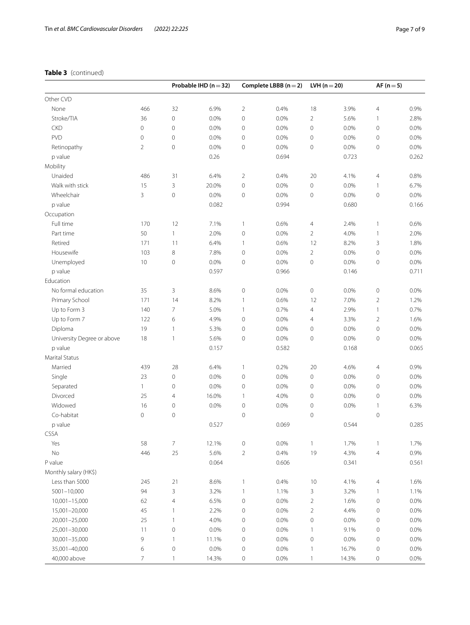# **Table 3** (continued)

| Other CVD<br>$\overline{2}$<br>18<br>None<br>466<br>32<br>6.9%<br>0.4%<br>3.9%<br>$\overline{4}$<br>0.9%<br>$\mathbf 0$<br>$\mathbf 0$<br>Stroke/TIA<br>36<br>0.0%<br>0.0%<br>$\overline{2}$<br>5.6%<br>2.8%<br>$\mathbf{1}$<br>$\mathbf 0$<br>$\mathbf 0$<br>$\mathsf{O}\xspace$<br><b>CKD</b><br>0.0%<br>0<br>0.0%<br>0.0%<br>$\mathsf{O}\xspace$<br>0.0%<br>PVD<br>0<br>$\mathbf 0$<br>0.0%<br>0<br>0.0%<br>$\mathbf 0$<br>0.0%<br>$\mathsf{O}\xspace$<br>0.0%<br>$\overline{2}$<br>$\mathbf 0$<br>Retinopathy<br>0.0%<br>0<br>0.0%<br>$\mathsf{O}\xspace$<br>0.0%<br>$\mathsf{O}\xspace$<br>0.0%<br>0.26<br>p value<br>0.694<br>0.723<br>0.262<br>Mobility<br>Unaided<br>486<br>31<br>6.4%<br>$\overline{2}$<br>0.4%<br>20<br>4.1%<br>$\overline{4}$<br>0.8%<br>Walk with stick<br>3<br>$\mathbf 0$<br>15<br>20.0%<br>0.0%<br>0<br>0.0%<br>$\mathbf{1}$<br>6.7%<br>Wheelchair<br>3<br>$\mathbf 0$<br>0.0%<br>$\mathbf 0$<br>$0.0\%$<br>0.0%<br>$\mathsf{O}\xspace$<br>$\mathbf 0$<br>0.0%<br>p value<br>0.082<br>0.994<br>0.680<br>0.166<br>Occupation<br>12<br>Full time<br>170<br>7.1%<br>$\mathbf{1}$<br>0.6%<br>2.4%<br>$\mathbf{1}$<br>$\overline{4}$<br>0.6%<br>Part time<br>50<br>$\mathbf{1}$<br>2.0%<br>$\mathbf 0$<br>0.0%<br>2<br>4.0%<br>$\mathbf{1}$<br>2.0%<br>Retired<br>171<br>11<br>6.4%<br>0.6%<br>12<br>8.2%<br>3<br>$\mathbf{1}$<br>1.8%<br>$\,8\,$<br>$\mathbf 0$<br>$\overline{2}$<br>$\mathbf 0$<br>Housewife<br>103<br>7.8%<br>0.0%<br>0.0%<br>0.0%<br>Unemployed<br>10<br>$\mathbf 0$<br>0.0%<br>$\mathsf{O}\xspace$<br>0.0%<br>$\mathbf 0$<br>0.0%<br>$\mathbf 0$<br>0.0%<br>p value<br>0.597<br>0.966<br>0.146<br>0.711<br>Education<br>$\mathsf{O}\xspace$<br>No formal education<br>35<br>3<br>8.6%<br>$\mathsf{O}\xspace$<br>0.0%<br>0.0%<br>$\mathbf 0$<br>0.0%<br>Primary School<br>171<br>14<br>8.2%<br>0.6%<br>12<br>7.0%<br>$\overline{2}$<br>1.2%<br>$\mathbf{1}$<br>Up to Form 3<br>140<br>7<br>5.0%<br>0.7%<br>4<br>2.9%<br>$\mathbf{1}$<br>0.7%<br>$\mathbf{1}$<br>Up to Form 7<br>122<br>6<br>4.9%<br>$\mathsf{O}\xspace$<br>0.0%<br>3.3%<br>$\overline{2}$<br>1.6%<br>4<br>19<br>Diploma<br>$\mathbf{1}$<br>5.3%<br>$\mathsf{O}\xspace$<br>0.0%<br>$\mathbb O$<br>0.0%<br>$\mathbf 0$<br>0.0%<br>0.0%<br>University Degree or above<br>18<br>$\mathbf{1}$<br>5.6%<br>$\mathsf{O}\xspace$<br>0.0%<br>$\mathbf 0$<br>$\mathbf 0$<br>0.0%<br>p value<br>0.157<br>0.582<br>0.168<br>0.065<br>Marital Status<br>28<br>20<br>Married<br>439<br>6.4%<br>4.6%<br>$\overline{4}$<br>0.9%<br>$\mathbf{1}$<br>0.2%<br>$\mathbf 0$<br>0.0%<br>$\mathsf{O}\xspace$<br>0.0%<br>Single<br>23<br>0.0%<br>$\mathbf 0$<br>$\mathbf 0$<br>0.0%<br>Separated<br>$\mathbf{1}$<br>$\mathbf 0$<br>0.0%<br>$\mathsf{O}\xspace$<br>0.0%<br>$\mathbf 0$<br>0.0%<br>$\mathbf 0$<br>0.0%<br>16.0%<br>Divorced<br>25<br>$\overline{4}$<br>4.0%<br>$\mathbf 0$<br>0.0%<br>$\mathbf 0$<br>0.0%<br>$\mathbf{1}$<br>Widowed<br>$\mathsf{O}\xspace$<br>16<br>$\mathbb O$<br>0.0%<br>$\mathbb O$<br>0.0%<br>0.0%<br>$\mathbf{1}$<br>6.3%<br>Co-habitat<br>$\mathbf 0$<br>$\mathbf 0$<br>$\mathsf{O}\xspace$<br>$\mathbf 0$<br>$\mathbf 0$<br>p value<br>0.527<br>0.069<br>0.544<br>0.285<br>CSSA<br>58<br>$\overline{7}$<br>12.1%<br>$\mathsf{O}\xspace$<br>0.0%<br>1.7%<br>1.7%<br>Yes<br>$\mathbf{1}$<br>$\mathbf{1}$<br>$\rm No$<br>446<br>25<br>5.6%<br>$\overline{2}$<br>19<br>4.3%<br>$\overline{4}$<br>0.9%<br>0.4%<br>P value<br>0.064<br>0.606<br>0.341<br>0.561<br>Monthly salary (HK\$)<br>Less than 5000<br>8.6%<br>0.4%<br>$10$<br>4.1%<br>245<br>21<br>$\mathbf{1}$<br>$\overline{4}$<br>1.6%<br>3<br>5001-10,000<br>94<br>3.2%<br>$\mathbf{1}$<br>3<br>3.2%<br>1.1%<br>1.1%<br>$\mathbf{1}$<br>$10,001 - 15,000$<br>62<br>$\overline{4}$<br>6.5%<br>$\mathsf{O}\xspace$<br>0.0%<br>$\overline{2}$<br>1.6%<br>$\circ$<br>0.0%<br>15,001-20,000<br>45<br>2.2%<br>$\mathsf{O}\xspace$<br>0.0%<br>$\overline{2}$<br>4.4%<br>0.0%<br>$\mathbf{1}$<br>0<br>25<br>$\circ$<br>20,001-25,000<br>$\mathbf{1}$<br>4.0%<br>$\mathsf{O}\xspace$<br>0.0%<br>0.0%<br>$\circ$<br>0.0% |               |    |         | Probable IHD ( $n = 32$ ) |                     | Complete LBBB $(n=2)$ | LVH $(n=20)$ |      | $AF (n = 5)$ |      |
|------------------------------------------------------------------------------------------------------------------------------------------------------------------------------------------------------------------------------------------------------------------------------------------------------------------------------------------------------------------------------------------------------------------------------------------------------------------------------------------------------------------------------------------------------------------------------------------------------------------------------------------------------------------------------------------------------------------------------------------------------------------------------------------------------------------------------------------------------------------------------------------------------------------------------------------------------------------------------------------------------------------------------------------------------------------------------------------------------------------------------------------------------------------------------------------------------------------------------------------------------------------------------------------------------------------------------------------------------------------------------------------------------------------------------------------------------------------------------------------------------------------------------------------------------------------------------------------------------------------------------------------------------------------------------------------------------------------------------------------------------------------------------------------------------------------------------------------------------------------------------------------------------------------------------------------------------------------------------------------------------------------------------------------------------------------------------------------------------------------------------------------------------------------------------------------------------------------------------------------------------------------------------------------------------------------------------------------------------------------------------------------------------------------------------------------------------------------------------------------------------------------------------------------------------------------------------------------------------------------------------------------------------------------------------------------------------------------------------------------------------------------------------------------------------------------------------------------------------------------------------------------------------------------------------------------------------------------------------------------------------------------------------------------------------------------------------------------------------------------------------------------------------------------------------------------------------------------------------------------------------------------------------------------------------------------------------------------------------------------------------------------------------------------------------------------------------------------------------------------------------------------------------------------------------------------------------------------------------------------------------------------------------------------------------------------------------------------------------------------------------------------------------------------------------------------------------------------------------------------------------------------------------------------------------------------------------------------------------------------------------------------------------------------------------------------------------------------------|---------------|----|---------|---------------------------|---------------------|-----------------------|--------------|------|--------------|------|
|                                                                                                                                                                                                                                                                                                                                                                                                                                                                                                                                                                                                                                                                                                                                                                                                                                                                                                                                                                                                                                                                                                                                                                                                                                                                                                                                                                                                                                                                                                                                                                                                                                                                                                                                                                                                                                                                                                                                                                                                                                                                                                                                                                                                                                                                                                                                                                                                                                                                                                                                                                                                                                                                                                                                                                                                                                                                                                                                                                                                                                                                                                                                                                                                                                                                                                                                                                                                                                                                                                                                                                                                                                                                                                                                                                                                                                                                                                                                                                                                                                                                                                |               |    |         |                           |                     |                       |              |      |              |      |
|                                                                                                                                                                                                                                                                                                                                                                                                                                                                                                                                                                                                                                                                                                                                                                                                                                                                                                                                                                                                                                                                                                                                                                                                                                                                                                                                                                                                                                                                                                                                                                                                                                                                                                                                                                                                                                                                                                                                                                                                                                                                                                                                                                                                                                                                                                                                                                                                                                                                                                                                                                                                                                                                                                                                                                                                                                                                                                                                                                                                                                                                                                                                                                                                                                                                                                                                                                                                                                                                                                                                                                                                                                                                                                                                                                                                                                                                                                                                                                                                                                                                                                |               |    |         |                           |                     |                       |              |      |              |      |
|                                                                                                                                                                                                                                                                                                                                                                                                                                                                                                                                                                                                                                                                                                                                                                                                                                                                                                                                                                                                                                                                                                                                                                                                                                                                                                                                                                                                                                                                                                                                                                                                                                                                                                                                                                                                                                                                                                                                                                                                                                                                                                                                                                                                                                                                                                                                                                                                                                                                                                                                                                                                                                                                                                                                                                                                                                                                                                                                                                                                                                                                                                                                                                                                                                                                                                                                                                                                                                                                                                                                                                                                                                                                                                                                                                                                                                                                                                                                                                                                                                                                                                |               |    |         |                           |                     |                       |              |      |              |      |
|                                                                                                                                                                                                                                                                                                                                                                                                                                                                                                                                                                                                                                                                                                                                                                                                                                                                                                                                                                                                                                                                                                                                                                                                                                                                                                                                                                                                                                                                                                                                                                                                                                                                                                                                                                                                                                                                                                                                                                                                                                                                                                                                                                                                                                                                                                                                                                                                                                                                                                                                                                                                                                                                                                                                                                                                                                                                                                                                                                                                                                                                                                                                                                                                                                                                                                                                                                                                                                                                                                                                                                                                                                                                                                                                                                                                                                                                                                                                                                                                                                                                                                |               |    |         |                           |                     |                       |              |      |              |      |
|                                                                                                                                                                                                                                                                                                                                                                                                                                                                                                                                                                                                                                                                                                                                                                                                                                                                                                                                                                                                                                                                                                                                                                                                                                                                                                                                                                                                                                                                                                                                                                                                                                                                                                                                                                                                                                                                                                                                                                                                                                                                                                                                                                                                                                                                                                                                                                                                                                                                                                                                                                                                                                                                                                                                                                                                                                                                                                                                                                                                                                                                                                                                                                                                                                                                                                                                                                                                                                                                                                                                                                                                                                                                                                                                                                                                                                                                                                                                                                                                                                                                                                |               |    |         |                           |                     |                       |              |      |              |      |
|                                                                                                                                                                                                                                                                                                                                                                                                                                                                                                                                                                                                                                                                                                                                                                                                                                                                                                                                                                                                                                                                                                                                                                                                                                                                                                                                                                                                                                                                                                                                                                                                                                                                                                                                                                                                                                                                                                                                                                                                                                                                                                                                                                                                                                                                                                                                                                                                                                                                                                                                                                                                                                                                                                                                                                                                                                                                                                                                                                                                                                                                                                                                                                                                                                                                                                                                                                                                                                                                                                                                                                                                                                                                                                                                                                                                                                                                                                                                                                                                                                                                                                |               |    |         |                           |                     |                       |              |      |              |      |
|                                                                                                                                                                                                                                                                                                                                                                                                                                                                                                                                                                                                                                                                                                                                                                                                                                                                                                                                                                                                                                                                                                                                                                                                                                                                                                                                                                                                                                                                                                                                                                                                                                                                                                                                                                                                                                                                                                                                                                                                                                                                                                                                                                                                                                                                                                                                                                                                                                                                                                                                                                                                                                                                                                                                                                                                                                                                                                                                                                                                                                                                                                                                                                                                                                                                                                                                                                                                                                                                                                                                                                                                                                                                                                                                                                                                                                                                                                                                                                                                                                                                                                |               |    |         |                           |                     |                       |              |      |              |      |
|                                                                                                                                                                                                                                                                                                                                                                                                                                                                                                                                                                                                                                                                                                                                                                                                                                                                                                                                                                                                                                                                                                                                                                                                                                                                                                                                                                                                                                                                                                                                                                                                                                                                                                                                                                                                                                                                                                                                                                                                                                                                                                                                                                                                                                                                                                                                                                                                                                                                                                                                                                                                                                                                                                                                                                                                                                                                                                                                                                                                                                                                                                                                                                                                                                                                                                                                                                                                                                                                                                                                                                                                                                                                                                                                                                                                                                                                                                                                                                                                                                                                                                |               |    |         |                           |                     |                       |              |      |              |      |
|                                                                                                                                                                                                                                                                                                                                                                                                                                                                                                                                                                                                                                                                                                                                                                                                                                                                                                                                                                                                                                                                                                                                                                                                                                                                                                                                                                                                                                                                                                                                                                                                                                                                                                                                                                                                                                                                                                                                                                                                                                                                                                                                                                                                                                                                                                                                                                                                                                                                                                                                                                                                                                                                                                                                                                                                                                                                                                                                                                                                                                                                                                                                                                                                                                                                                                                                                                                                                                                                                                                                                                                                                                                                                                                                                                                                                                                                                                                                                                                                                                                                                                |               |    |         |                           |                     |                       |              |      |              |      |
|                                                                                                                                                                                                                                                                                                                                                                                                                                                                                                                                                                                                                                                                                                                                                                                                                                                                                                                                                                                                                                                                                                                                                                                                                                                                                                                                                                                                                                                                                                                                                                                                                                                                                                                                                                                                                                                                                                                                                                                                                                                                                                                                                                                                                                                                                                                                                                                                                                                                                                                                                                                                                                                                                                                                                                                                                                                                                                                                                                                                                                                                                                                                                                                                                                                                                                                                                                                                                                                                                                                                                                                                                                                                                                                                                                                                                                                                                                                                                                                                                                                                                                |               |    |         |                           |                     |                       |              |      |              |      |
|                                                                                                                                                                                                                                                                                                                                                                                                                                                                                                                                                                                                                                                                                                                                                                                                                                                                                                                                                                                                                                                                                                                                                                                                                                                                                                                                                                                                                                                                                                                                                                                                                                                                                                                                                                                                                                                                                                                                                                                                                                                                                                                                                                                                                                                                                                                                                                                                                                                                                                                                                                                                                                                                                                                                                                                                                                                                                                                                                                                                                                                                                                                                                                                                                                                                                                                                                                                                                                                                                                                                                                                                                                                                                                                                                                                                                                                                                                                                                                                                                                                                                                |               |    |         |                           |                     |                       |              |      |              |      |
|                                                                                                                                                                                                                                                                                                                                                                                                                                                                                                                                                                                                                                                                                                                                                                                                                                                                                                                                                                                                                                                                                                                                                                                                                                                                                                                                                                                                                                                                                                                                                                                                                                                                                                                                                                                                                                                                                                                                                                                                                                                                                                                                                                                                                                                                                                                                                                                                                                                                                                                                                                                                                                                                                                                                                                                                                                                                                                                                                                                                                                                                                                                                                                                                                                                                                                                                                                                                                                                                                                                                                                                                                                                                                                                                                                                                                                                                                                                                                                                                                                                                                                |               |    |         |                           |                     |                       |              |      |              |      |
|                                                                                                                                                                                                                                                                                                                                                                                                                                                                                                                                                                                                                                                                                                                                                                                                                                                                                                                                                                                                                                                                                                                                                                                                                                                                                                                                                                                                                                                                                                                                                                                                                                                                                                                                                                                                                                                                                                                                                                                                                                                                                                                                                                                                                                                                                                                                                                                                                                                                                                                                                                                                                                                                                                                                                                                                                                                                                                                                                                                                                                                                                                                                                                                                                                                                                                                                                                                                                                                                                                                                                                                                                                                                                                                                                                                                                                                                                                                                                                                                                                                                                                |               |    |         |                           |                     |                       |              |      |              |      |
|                                                                                                                                                                                                                                                                                                                                                                                                                                                                                                                                                                                                                                                                                                                                                                                                                                                                                                                                                                                                                                                                                                                                                                                                                                                                                                                                                                                                                                                                                                                                                                                                                                                                                                                                                                                                                                                                                                                                                                                                                                                                                                                                                                                                                                                                                                                                                                                                                                                                                                                                                                                                                                                                                                                                                                                                                                                                                                                                                                                                                                                                                                                                                                                                                                                                                                                                                                                                                                                                                                                                                                                                                                                                                                                                                                                                                                                                                                                                                                                                                                                                                                |               |    |         |                           |                     |                       |              |      |              |      |
|                                                                                                                                                                                                                                                                                                                                                                                                                                                                                                                                                                                                                                                                                                                                                                                                                                                                                                                                                                                                                                                                                                                                                                                                                                                                                                                                                                                                                                                                                                                                                                                                                                                                                                                                                                                                                                                                                                                                                                                                                                                                                                                                                                                                                                                                                                                                                                                                                                                                                                                                                                                                                                                                                                                                                                                                                                                                                                                                                                                                                                                                                                                                                                                                                                                                                                                                                                                                                                                                                                                                                                                                                                                                                                                                                                                                                                                                                                                                                                                                                                                                                                |               |    |         |                           |                     |                       |              |      |              |      |
|                                                                                                                                                                                                                                                                                                                                                                                                                                                                                                                                                                                                                                                                                                                                                                                                                                                                                                                                                                                                                                                                                                                                                                                                                                                                                                                                                                                                                                                                                                                                                                                                                                                                                                                                                                                                                                                                                                                                                                                                                                                                                                                                                                                                                                                                                                                                                                                                                                                                                                                                                                                                                                                                                                                                                                                                                                                                                                                                                                                                                                                                                                                                                                                                                                                                                                                                                                                                                                                                                                                                                                                                                                                                                                                                                                                                                                                                                                                                                                                                                                                                                                |               |    |         |                           |                     |                       |              |      |              |      |
|                                                                                                                                                                                                                                                                                                                                                                                                                                                                                                                                                                                                                                                                                                                                                                                                                                                                                                                                                                                                                                                                                                                                                                                                                                                                                                                                                                                                                                                                                                                                                                                                                                                                                                                                                                                                                                                                                                                                                                                                                                                                                                                                                                                                                                                                                                                                                                                                                                                                                                                                                                                                                                                                                                                                                                                                                                                                                                                                                                                                                                                                                                                                                                                                                                                                                                                                                                                                                                                                                                                                                                                                                                                                                                                                                                                                                                                                                                                                                                                                                                                                                                |               |    |         |                           |                     |                       |              |      |              |      |
|                                                                                                                                                                                                                                                                                                                                                                                                                                                                                                                                                                                                                                                                                                                                                                                                                                                                                                                                                                                                                                                                                                                                                                                                                                                                                                                                                                                                                                                                                                                                                                                                                                                                                                                                                                                                                                                                                                                                                                                                                                                                                                                                                                                                                                                                                                                                                                                                                                                                                                                                                                                                                                                                                                                                                                                                                                                                                                                                                                                                                                                                                                                                                                                                                                                                                                                                                                                                                                                                                                                                                                                                                                                                                                                                                                                                                                                                                                                                                                                                                                                                                                |               |    |         |                           |                     |                       |              |      |              |      |
|                                                                                                                                                                                                                                                                                                                                                                                                                                                                                                                                                                                                                                                                                                                                                                                                                                                                                                                                                                                                                                                                                                                                                                                                                                                                                                                                                                                                                                                                                                                                                                                                                                                                                                                                                                                                                                                                                                                                                                                                                                                                                                                                                                                                                                                                                                                                                                                                                                                                                                                                                                                                                                                                                                                                                                                                                                                                                                                                                                                                                                                                                                                                                                                                                                                                                                                                                                                                                                                                                                                                                                                                                                                                                                                                                                                                                                                                                                                                                                                                                                                                                                |               |    |         |                           |                     |                       |              |      |              |      |
|                                                                                                                                                                                                                                                                                                                                                                                                                                                                                                                                                                                                                                                                                                                                                                                                                                                                                                                                                                                                                                                                                                                                                                                                                                                                                                                                                                                                                                                                                                                                                                                                                                                                                                                                                                                                                                                                                                                                                                                                                                                                                                                                                                                                                                                                                                                                                                                                                                                                                                                                                                                                                                                                                                                                                                                                                                                                                                                                                                                                                                                                                                                                                                                                                                                                                                                                                                                                                                                                                                                                                                                                                                                                                                                                                                                                                                                                                                                                                                                                                                                                                                |               |    |         |                           |                     |                       |              |      |              |      |
|                                                                                                                                                                                                                                                                                                                                                                                                                                                                                                                                                                                                                                                                                                                                                                                                                                                                                                                                                                                                                                                                                                                                                                                                                                                                                                                                                                                                                                                                                                                                                                                                                                                                                                                                                                                                                                                                                                                                                                                                                                                                                                                                                                                                                                                                                                                                                                                                                                                                                                                                                                                                                                                                                                                                                                                                                                                                                                                                                                                                                                                                                                                                                                                                                                                                                                                                                                                                                                                                                                                                                                                                                                                                                                                                                                                                                                                                                                                                                                                                                                                                                                |               |    |         |                           |                     |                       |              |      |              |      |
|                                                                                                                                                                                                                                                                                                                                                                                                                                                                                                                                                                                                                                                                                                                                                                                                                                                                                                                                                                                                                                                                                                                                                                                                                                                                                                                                                                                                                                                                                                                                                                                                                                                                                                                                                                                                                                                                                                                                                                                                                                                                                                                                                                                                                                                                                                                                                                                                                                                                                                                                                                                                                                                                                                                                                                                                                                                                                                                                                                                                                                                                                                                                                                                                                                                                                                                                                                                                                                                                                                                                                                                                                                                                                                                                                                                                                                                                                                                                                                                                                                                                                                |               |    |         |                           |                     |                       |              |      |              |      |
|                                                                                                                                                                                                                                                                                                                                                                                                                                                                                                                                                                                                                                                                                                                                                                                                                                                                                                                                                                                                                                                                                                                                                                                                                                                                                                                                                                                                                                                                                                                                                                                                                                                                                                                                                                                                                                                                                                                                                                                                                                                                                                                                                                                                                                                                                                                                                                                                                                                                                                                                                                                                                                                                                                                                                                                                                                                                                                                                                                                                                                                                                                                                                                                                                                                                                                                                                                                                                                                                                                                                                                                                                                                                                                                                                                                                                                                                                                                                                                                                                                                                                                |               |    |         |                           |                     |                       |              |      |              |      |
|                                                                                                                                                                                                                                                                                                                                                                                                                                                                                                                                                                                                                                                                                                                                                                                                                                                                                                                                                                                                                                                                                                                                                                                                                                                                                                                                                                                                                                                                                                                                                                                                                                                                                                                                                                                                                                                                                                                                                                                                                                                                                                                                                                                                                                                                                                                                                                                                                                                                                                                                                                                                                                                                                                                                                                                                                                                                                                                                                                                                                                                                                                                                                                                                                                                                                                                                                                                                                                                                                                                                                                                                                                                                                                                                                                                                                                                                                                                                                                                                                                                                                                |               |    |         |                           |                     |                       |              |      |              |      |
|                                                                                                                                                                                                                                                                                                                                                                                                                                                                                                                                                                                                                                                                                                                                                                                                                                                                                                                                                                                                                                                                                                                                                                                                                                                                                                                                                                                                                                                                                                                                                                                                                                                                                                                                                                                                                                                                                                                                                                                                                                                                                                                                                                                                                                                                                                                                                                                                                                                                                                                                                                                                                                                                                                                                                                                                                                                                                                                                                                                                                                                                                                                                                                                                                                                                                                                                                                                                                                                                                                                                                                                                                                                                                                                                                                                                                                                                                                                                                                                                                                                                                                |               |    |         |                           |                     |                       |              |      |              |      |
|                                                                                                                                                                                                                                                                                                                                                                                                                                                                                                                                                                                                                                                                                                                                                                                                                                                                                                                                                                                                                                                                                                                                                                                                                                                                                                                                                                                                                                                                                                                                                                                                                                                                                                                                                                                                                                                                                                                                                                                                                                                                                                                                                                                                                                                                                                                                                                                                                                                                                                                                                                                                                                                                                                                                                                                                                                                                                                                                                                                                                                                                                                                                                                                                                                                                                                                                                                                                                                                                                                                                                                                                                                                                                                                                                                                                                                                                                                                                                                                                                                                                                                |               |    |         |                           |                     |                       |              |      |              |      |
|                                                                                                                                                                                                                                                                                                                                                                                                                                                                                                                                                                                                                                                                                                                                                                                                                                                                                                                                                                                                                                                                                                                                                                                                                                                                                                                                                                                                                                                                                                                                                                                                                                                                                                                                                                                                                                                                                                                                                                                                                                                                                                                                                                                                                                                                                                                                                                                                                                                                                                                                                                                                                                                                                                                                                                                                                                                                                                                                                                                                                                                                                                                                                                                                                                                                                                                                                                                                                                                                                                                                                                                                                                                                                                                                                                                                                                                                                                                                                                                                                                                                                                |               |    |         |                           |                     |                       |              |      |              |      |
|                                                                                                                                                                                                                                                                                                                                                                                                                                                                                                                                                                                                                                                                                                                                                                                                                                                                                                                                                                                                                                                                                                                                                                                                                                                                                                                                                                                                                                                                                                                                                                                                                                                                                                                                                                                                                                                                                                                                                                                                                                                                                                                                                                                                                                                                                                                                                                                                                                                                                                                                                                                                                                                                                                                                                                                                                                                                                                                                                                                                                                                                                                                                                                                                                                                                                                                                                                                                                                                                                                                                                                                                                                                                                                                                                                                                                                                                                                                                                                                                                                                                                                |               |    |         |                           |                     |                       |              |      |              |      |
|                                                                                                                                                                                                                                                                                                                                                                                                                                                                                                                                                                                                                                                                                                                                                                                                                                                                                                                                                                                                                                                                                                                                                                                                                                                                                                                                                                                                                                                                                                                                                                                                                                                                                                                                                                                                                                                                                                                                                                                                                                                                                                                                                                                                                                                                                                                                                                                                                                                                                                                                                                                                                                                                                                                                                                                                                                                                                                                                                                                                                                                                                                                                                                                                                                                                                                                                                                                                                                                                                                                                                                                                                                                                                                                                                                                                                                                                                                                                                                                                                                                                                                |               |    |         |                           |                     |                       |              |      |              |      |
|                                                                                                                                                                                                                                                                                                                                                                                                                                                                                                                                                                                                                                                                                                                                                                                                                                                                                                                                                                                                                                                                                                                                                                                                                                                                                                                                                                                                                                                                                                                                                                                                                                                                                                                                                                                                                                                                                                                                                                                                                                                                                                                                                                                                                                                                                                                                                                                                                                                                                                                                                                                                                                                                                                                                                                                                                                                                                                                                                                                                                                                                                                                                                                                                                                                                                                                                                                                                                                                                                                                                                                                                                                                                                                                                                                                                                                                                                                                                                                                                                                                                                                |               |    |         |                           |                     |                       |              |      |              |      |
|                                                                                                                                                                                                                                                                                                                                                                                                                                                                                                                                                                                                                                                                                                                                                                                                                                                                                                                                                                                                                                                                                                                                                                                                                                                                                                                                                                                                                                                                                                                                                                                                                                                                                                                                                                                                                                                                                                                                                                                                                                                                                                                                                                                                                                                                                                                                                                                                                                                                                                                                                                                                                                                                                                                                                                                                                                                                                                                                                                                                                                                                                                                                                                                                                                                                                                                                                                                                                                                                                                                                                                                                                                                                                                                                                                                                                                                                                                                                                                                                                                                                                                |               |    |         |                           |                     |                       |              |      |              |      |
|                                                                                                                                                                                                                                                                                                                                                                                                                                                                                                                                                                                                                                                                                                                                                                                                                                                                                                                                                                                                                                                                                                                                                                                                                                                                                                                                                                                                                                                                                                                                                                                                                                                                                                                                                                                                                                                                                                                                                                                                                                                                                                                                                                                                                                                                                                                                                                                                                                                                                                                                                                                                                                                                                                                                                                                                                                                                                                                                                                                                                                                                                                                                                                                                                                                                                                                                                                                                                                                                                                                                                                                                                                                                                                                                                                                                                                                                                                                                                                                                                                                                                                |               |    |         |                           |                     |                       |              |      |              |      |
|                                                                                                                                                                                                                                                                                                                                                                                                                                                                                                                                                                                                                                                                                                                                                                                                                                                                                                                                                                                                                                                                                                                                                                                                                                                                                                                                                                                                                                                                                                                                                                                                                                                                                                                                                                                                                                                                                                                                                                                                                                                                                                                                                                                                                                                                                                                                                                                                                                                                                                                                                                                                                                                                                                                                                                                                                                                                                                                                                                                                                                                                                                                                                                                                                                                                                                                                                                                                                                                                                                                                                                                                                                                                                                                                                                                                                                                                                                                                                                                                                                                                                                |               |    |         |                           |                     |                       |              |      |              |      |
|                                                                                                                                                                                                                                                                                                                                                                                                                                                                                                                                                                                                                                                                                                                                                                                                                                                                                                                                                                                                                                                                                                                                                                                                                                                                                                                                                                                                                                                                                                                                                                                                                                                                                                                                                                                                                                                                                                                                                                                                                                                                                                                                                                                                                                                                                                                                                                                                                                                                                                                                                                                                                                                                                                                                                                                                                                                                                                                                                                                                                                                                                                                                                                                                                                                                                                                                                                                                                                                                                                                                                                                                                                                                                                                                                                                                                                                                                                                                                                                                                                                                                                |               |    |         |                           |                     |                       |              |      |              |      |
|                                                                                                                                                                                                                                                                                                                                                                                                                                                                                                                                                                                                                                                                                                                                                                                                                                                                                                                                                                                                                                                                                                                                                                                                                                                                                                                                                                                                                                                                                                                                                                                                                                                                                                                                                                                                                                                                                                                                                                                                                                                                                                                                                                                                                                                                                                                                                                                                                                                                                                                                                                                                                                                                                                                                                                                                                                                                                                                                                                                                                                                                                                                                                                                                                                                                                                                                                                                                                                                                                                                                                                                                                                                                                                                                                                                                                                                                                                                                                                                                                                                                                                |               |    |         |                           |                     |                       |              |      |              |      |
|                                                                                                                                                                                                                                                                                                                                                                                                                                                                                                                                                                                                                                                                                                                                                                                                                                                                                                                                                                                                                                                                                                                                                                                                                                                                                                                                                                                                                                                                                                                                                                                                                                                                                                                                                                                                                                                                                                                                                                                                                                                                                                                                                                                                                                                                                                                                                                                                                                                                                                                                                                                                                                                                                                                                                                                                                                                                                                                                                                                                                                                                                                                                                                                                                                                                                                                                                                                                                                                                                                                                                                                                                                                                                                                                                                                                                                                                                                                                                                                                                                                                                                |               |    |         |                           |                     |                       |              |      |              |      |
|                                                                                                                                                                                                                                                                                                                                                                                                                                                                                                                                                                                                                                                                                                                                                                                                                                                                                                                                                                                                                                                                                                                                                                                                                                                                                                                                                                                                                                                                                                                                                                                                                                                                                                                                                                                                                                                                                                                                                                                                                                                                                                                                                                                                                                                                                                                                                                                                                                                                                                                                                                                                                                                                                                                                                                                                                                                                                                                                                                                                                                                                                                                                                                                                                                                                                                                                                                                                                                                                                                                                                                                                                                                                                                                                                                                                                                                                                                                                                                                                                                                                                                |               |    |         |                           |                     |                       |              |      |              |      |
|                                                                                                                                                                                                                                                                                                                                                                                                                                                                                                                                                                                                                                                                                                                                                                                                                                                                                                                                                                                                                                                                                                                                                                                                                                                                                                                                                                                                                                                                                                                                                                                                                                                                                                                                                                                                                                                                                                                                                                                                                                                                                                                                                                                                                                                                                                                                                                                                                                                                                                                                                                                                                                                                                                                                                                                                                                                                                                                                                                                                                                                                                                                                                                                                                                                                                                                                                                                                                                                                                                                                                                                                                                                                                                                                                                                                                                                                                                                                                                                                                                                                                                |               |    |         |                           |                     |                       |              |      |              |      |
|                                                                                                                                                                                                                                                                                                                                                                                                                                                                                                                                                                                                                                                                                                                                                                                                                                                                                                                                                                                                                                                                                                                                                                                                                                                                                                                                                                                                                                                                                                                                                                                                                                                                                                                                                                                                                                                                                                                                                                                                                                                                                                                                                                                                                                                                                                                                                                                                                                                                                                                                                                                                                                                                                                                                                                                                                                                                                                                                                                                                                                                                                                                                                                                                                                                                                                                                                                                                                                                                                                                                                                                                                                                                                                                                                                                                                                                                                                                                                                                                                                                                                                |               |    |         |                           |                     |                       |              |      |              |      |
|                                                                                                                                                                                                                                                                                                                                                                                                                                                                                                                                                                                                                                                                                                                                                                                                                                                                                                                                                                                                                                                                                                                                                                                                                                                                                                                                                                                                                                                                                                                                                                                                                                                                                                                                                                                                                                                                                                                                                                                                                                                                                                                                                                                                                                                                                                                                                                                                                                                                                                                                                                                                                                                                                                                                                                                                                                                                                                                                                                                                                                                                                                                                                                                                                                                                                                                                                                                                                                                                                                                                                                                                                                                                                                                                                                                                                                                                                                                                                                                                                                                                                                |               |    |         |                           |                     |                       |              |      |              |      |
|                                                                                                                                                                                                                                                                                                                                                                                                                                                                                                                                                                                                                                                                                                                                                                                                                                                                                                                                                                                                                                                                                                                                                                                                                                                                                                                                                                                                                                                                                                                                                                                                                                                                                                                                                                                                                                                                                                                                                                                                                                                                                                                                                                                                                                                                                                                                                                                                                                                                                                                                                                                                                                                                                                                                                                                                                                                                                                                                                                                                                                                                                                                                                                                                                                                                                                                                                                                                                                                                                                                                                                                                                                                                                                                                                                                                                                                                                                                                                                                                                                                                                                |               |    |         |                           |                     |                       |              |      |              |      |
|                                                                                                                                                                                                                                                                                                                                                                                                                                                                                                                                                                                                                                                                                                                                                                                                                                                                                                                                                                                                                                                                                                                                                                                                                                                                                                                                                                                                                                                                                                                                                                                                                                                                                                                                                                                                                                                                                                                                                                                                                                                                                                                                                                                                                                                                                                                                                                                                                                                                                                                                                                                                                                                                                                                                                                                                                                                                                                                                                                                                                                                                                                                                                                                                                                                                                                                                                                                                                                                                                                                                                                                                                                                                                                                                                                                                                                                                                                                                                                                                                                                                                                |               |    |         |                           |                     |                       |              |      |              |      |
|                                                                                                                                                                                                                                                                                                                                                                                                                                                                                                                                                                                                                                                                                                                                                                                                                                                                                                                                                                                                                                                                                                                                                                                                                                                                                                                                                                                                                                                                                                                                                                                                                                                                                                                                                                                                                                                                                                                                                                                                                                                                                                                                                                                                                                                                                                                                                                                                                                                                                                                                                                                                                                                                                                                                                                                                                                                                                                                                                                                                                                                                                                                                                                                                                                                                                                                                                                                                                                                                                                                                                                                                                                                                                                                                                                                                                                                                                                                                                                                                                                                                                                |               |    |         |                           |                     |                       |              |      |              |      |
|                                                                                                                                                                                                                                                                                                                                                                                                                                                                                                                                                                                                                                                                                                                                                                                                                                                                                                                                                                                                                                                                                                                                                                                                                                                                                                                                                                                                                                                                                                                                                                                                                                                                                                                                                                                                                                                                                                                                                                                                                                                                                                                                                                                                                                                                                                                                                                                                                                                                                                                                                                                                                                                                                                                                                                                                                                                                                                                                                                                                                                                                                                                                                                                                                                                                                                                                                                                                                                                                                                                                                                                                                                                                                                                                                                                                                                                                                                                                                                                                                                                                                                |               |    |         |                           |                     |                       |              |      |              |      |
|                                                                                                                                                                                                                                                                                                                                                                                                                                                                                                                                                                                                                                                                                                                                                                                                                                                                                                                                                                                                                                                                                                                                                                                                                                                                                                                                                                                                                                                                                                                                                                                                                                                                                                                                                                                                                                                                                                                                                                                                                                                                                                                                                                                                                                                                                                                                                                                                                                                                                                                                                                                                                                                                                                                                                                                                                                                                                                                                                                                                                                                                                                                                                                                                                                                                                                                                                                                                                                                                                                                                                                                                                                                                                                                                                                                                                                                                                                                                                                                                                                                                                                |               |    |         |                           |                     |                       |              |      |              |      |
|                                                                                                                                                                                                                                                                                                                                                                                                                                                                                                                                                                                                                                                                                                                                                                                                                                                                                                                                                                                                                                                                                                                                                                                                                                                                                                                                                                                                                                                                                                                                                                                                                                                                                                                                                                                                                                                                                                                                                                                                                                                                                                                                                                                                                                                                                                                                                                                                                                                                                                                                                                                                                                                                                                                                                                                                                                                                                                                                                                                                                                                                                                                                                                                                                                                                                                                                                                                                                                                                                                                                                                                                                                                                                                                                                                                                                                                                                                                                                                                                                                                                                                | 25,001-30,000 | 11 | $\circ$ | 0.0%                      | $\mathsf{O}\xspace$ | 0.0%                  | 1            | 9.1% | $\mathbf 0$  | 0.0% |
| 9<br>30,001-35,000<br>$\mathbf{1}$<br>$\mathsf{O}\xspace$<br>0.0%<br>$\circ$<br>0.0%<br>$\circ$<br>0.0%<br>11.1%                                                                                                                                                                                                                                                                                                                                                                                                                                                                                                                                                                                                                                                                                                                                                                                                                                                                                                                                                                                                                                                                                                                                                                                                                                                                                                                                                                                                                                                                                                                                                                                                                                                                                                                                                                                                                                                                                                                                                                                                                                                                                                                                                                                                                                                                                                                                                                                                                                                                                                                                                                                                                                                                                                                                                                                                                                                                                                                                                                                                                                                                                                                                                                                                                                                                                                                                                                                                                                                                                                                                                                                                                                                                                                                                                                                                                                                                                                                                                                               |               |    |         |                           |                     |                       |              |      |              |      |
| 35,001-40,000<br>6<br>$\circ$<br>0.0%<br>$\mathsf{O}\xspace$<br>$\mathbf{1}$<br>16.7%<br>0.0%<br>$\mathbf 0$<br>0.0%                                                                                                                                                                                                                                                                                                                                                                                                                                                                                                                                                                                                                                                                                                                                                                                                                                                                                                                                                                                                                                                                                                                                                                                                                                                                                                                                                                                                                                                                                                                                                                                                                                                                                                                                                                                                                                                                                                                                                                                                                                                                                                                                                                                                                                                                                                                                                                                                                                                                                                                                                                                                                                                                                                                                                                                                                                                                                                                                                                                                                                                                                                                                                                                                                                                                                                                                                                                                                                                                                                                                                                                                                                                                                                                                                                                                                                                                                                                                                                           |               |    |         |                           |                     |                       |              |      |              |      |
| $\overline{7}$<br>40,000 above<br>1<br>14.3%<br>$\mathsf{O}\xspace$<br>0.0%<br>14.3%<br>$\mathsf{O}\xspace$<br>0.0%<br>1                                                                                                                                                                                                                                                                                                                                                                                                                                                                                                                                                                                                                                                                                                                                                                                                                                                                                                                                                                                                                                                                                                                                                                                                                                                                                                                                                                                                                                                                                                                                                                                                                                                                                                                                                                                                                                                                                                                                                                                                                                                                                                                                                                                                                                                                                                                                                                                                                                                                                                                                                                                                                                                                                                                                                                                                                                                                                                                                                                                                                                                                                                                                                                                                                                                                                                                                                                                                                                                                                                                                                                                                                                                                                                                                                                                                                                                                                                                                                                       |               |    |         |                           |                     |                       |              |      |              |      |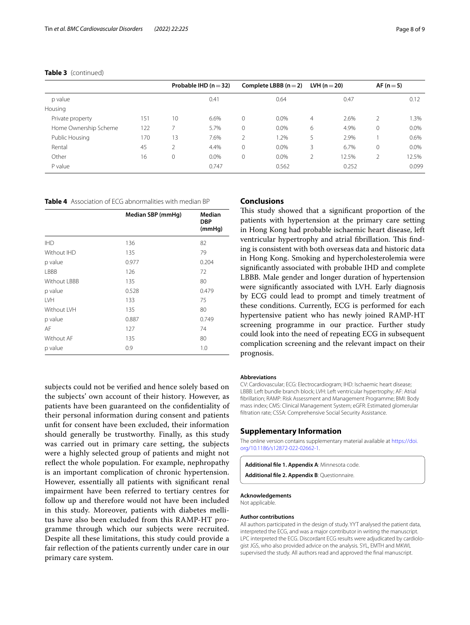|                       |     |             | Probable IHD $(n=32)$ |              | Complete LBBB $(n=2)$ |   | LVH ( $n = 20$ ) | $AF(n=5)$ |         |
|-----------------------|-----|-------------|-----------------------|--------------|-----------------------|---|------------------|-----------|---------|
| p value               |     |             | 0.41                  |              | 0.64                  |   | 0.47             |           | 0.12    |
| Housing               |     |             |                       |              |                       |   |                  |           |         |
| Private property      | 151 | 10          | 6.6%                  | $\mathbf{0}$ | $0.0\%$               | 4 | 2.6%             | 2         | 1.3%    |
| Home Ownership Scheme | 122 |             | 5.7%                  | $\mathbf{0}$ | $0.0\%$               | 6 | 4.9%             | 0         | $0.0\%$ |
| Public Housing        | 170 | 13          | 7.6%                  | 2            | 1.2%                  | 5 | 2.9%             |           | 0.6%    |
| Rental                | 45  |             | 4.4%                  | $\mathbf{0}$ | $0.0\%$               | 3 | 6.7%             | 0         | $0.0\%$ |
| Other                 | 16  | $\mathbf 0$ | $0.0\%$               | $\mathbf{0}$ | $0.0\%$               | 2 | 12.5%            | 2         | 12.5%   |
| P value               |     |             | 0.747                 |              | 0.562                 |   | 0.252            |           | 0.099   |

#### **Table 3** (continued)

<span id="page-7-2"></span>**Table 4** Association of ECG abnormalities with median BP

|              | Median SBP (mmHg) | Median<br><b>DBP</b> |
|--------------|-------------------|----------------------|
|              |                   | (mmHg)               |
| <b>IHD</b>   | 136               | 82                   |
| Without IHD  | 135               | 79                   |
| p value      | 0.977             | 0.204                |
| LBBB         | 126               | 72                   |
| Without LBBB | 135               | 80                   |
| p value      | 0.528             | 0.479                |
| <b>IVH</b>   | 133               | 75                   |
| Without IVH  | 135               | 80                   |
| p value      | 0.887             | 0.749                |
| AF           | 127               | 74                   |
| Without AF   | 135               | 80                   |
| p value      | 0.9               | 1.0                  |

subjects could not be verifed and hence solely based on the subjects' own account of their history. However, as patients have been guaranteed on the confdentiality of their personal information during consent and patients unft for consent have been excluded, their information should generally be trustworthy. Finally, as this study was carried out in primary care setting, the subjects were a highly selected group of patients and might not refect the whole population. For example, nephropathy is an important complication of chronic hypertension. However, essentially all patients with signifcant renal impairment have been referred to tertiary centres for follow up and therefore would not have been included in this study. Moreover, patients with diabetes mellitus have also been excluded from this RAMP-HT programme through which our subjects were recruited. Despite all these limitations, this study could provide a fair reflection of the patients currently under care in our primary care system.

# **Conclusions**

This study showed that a significant proportion of the patients with hypertension at the primary care setting in Hong Kong had probable ischaemic heart disease, left ventricular hypertrophy and atrial fibrillation. This finding is consistent with both overseas data and historic data in Hong Kong. Smoking and hypercholesterolemia were signifcantly associated with probable IHD and complete LBBB. Male gender and longer duration of hypertension were signifcantly associated with LVH. Early diagnosis by ECG could lead to prompt and timely treatment of these conditions. Currently, ECG is performed for each hypertensive patient who has newly joined RAMP-HT screening programme in our practice. Further study could look into the need of repeating ECG in subsequent complication screening and the relevant impact on their prognosis.

#### **Abbreviations**

CV: Cardiovascular; ECG: Electrocardiogram; IHD: Ischaemic heart disease; LBBB: Left bundle branch block; LVH: Left ventricular hypertrophy; AF: Atrial fbrillation; RAMP: Risk Assessment and Management Programme; BMI: Body mass index; CMS: Clinical Management System; eGFR: Estimated glomerular fltration rate; CSSA: Comprehensive Social Security Assistance.

# **Supplementary Information**

The online version contains supplementary material available at [https://doi.](https://doi.org/10.1186/s12872-022-02662-1) [org/10.1186/s12872-022-02662-1](https://doi.org/10.1186/s12872-022-02662-1).

<span id="page-7-0"></span>**Additional fle 1. Appendix A**: Minnesota code.

<span id="page-7-1"></span>**Additional fle 2. Appendix B**: Questionnaire.

# **Acknowledgements**

Not applicable.

# **Author contributions**

All authors participated in the design of study. YYT analysed the patient data, interpreted the ECG, and was a major contributor in writing the manuscript. LPC interpreted the ECG. Discordant ECG results were adjudicated by cardiologist JGS, who also provided advice on the analysis. SYL, EMTH and MKWL supervised the study. All authors read and approved the fnal manuscript.